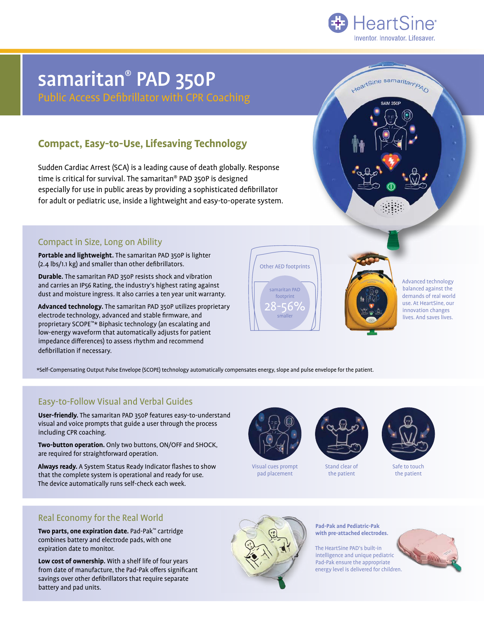

HeartSine samaritan PAD

**SAM 3501** 

# samaritan® PAD 350P

Public Access Defibrillator with CPR Coaching

## **Compact, Easy-to-Use, Lifesaving Technology**

Sudden Cardiac Arrest (SCA) is a leading cause of death globally. Response time is critical for survival. The samaritan® PAD 350P is designed especially for use in public areas by providing a sophisticated defibrillator for adult or pediatric use, inside a lightweight and easy-to-operate system.

### Compact in Size, Long on Ability

**Portable and lightweight.** The samaritan PAD 350P is lighter (2.4 lbs/1.1 kg) and smaller than other defibrillators.

**Durable.** The samaritan PAD 350P resists shock and vibration and carries an IP56 Rating, the industry's highest rating against dust and moisture ingress. It also carries a ten year unit warranty.

**Advanced technology.** The samaritan PAD 350P utilizes proprietary electrode technology, advanced and stable firmware, and proprietary SCOPE™\* Biphasic technology (an escalating and low-energy waveform that automatically adjusts for patient impedance differences) to assess rhythm and recommend defibrillation if necessary.



Advanced technology balanced against the demands of real world use. At HeartSine, our innovation changes lives. And saves lives.

\*Self-Compensating Output Pulse Envelope (SCOPE) technology automatically compensates energy, slope and pulse envelope for the patient.

### Easy-to-Follow Visual and Verbal Guides

**User-friendly.** The samaritan PAD 350P features easy-to-understand visual and voice prompts that guide a user through the process including CPR coaching.

**Two-button operation.** Only two buttons, ON/OFF and SHOCK, are required for straightforward operation.

**Always ready.** A System Status Ready Indicator flashes to show that the complete system is operational and ready for use. The device automatically runs self-check each week.



Visual cues prompt pad placement



Stand clear of the patient



Safe to touch the patient

### Real Economy for the Real World

**Two parts, one expiration date.** Pad-Pak™ cartridge combines battery and electrode pads, with one expiration date to monitor.

**Low cost of ownership.** With a shelf life of four years from date of manufacture, the Pad-Pak offers significant savings over other defibrillators that require separate battery and pad units.



**Pad-Pak and Pediatric-Pak with pre-attached electrodes.**

The HeartSine PAD's built-in intelligence and unique pediatric Pad-Pak ensure the appropriate energy level is delivered for children.